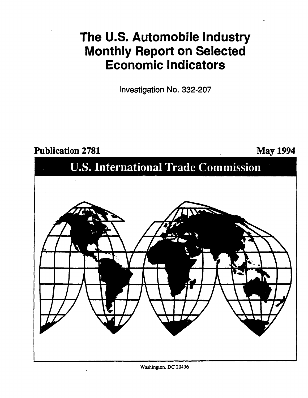# The U.S. Automobile Industry Monthly Report on Selected Economic Indicators

Investigation No. 332-207



Washington, DC 20436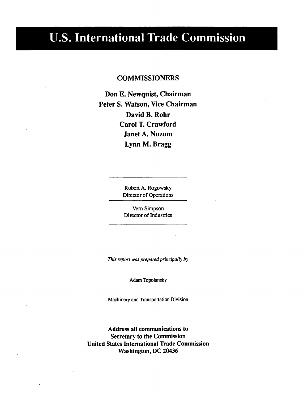## U.S. International Trade Commission

### **COMMISSIONERS**

Don E. Newquist, Chairman Peter S. Watson, Vice Chairman David B. Rohr Carol T. Crawford Janet A. Nuzum Lynn M. Bragg

> Robert A. Rogowsky Director of Operations

Vern Simpson Director of Industries

*This report was prepared principally by* 

Adam Topolansky

Machinery and Transportation Division

Address all communications to Secretary to the Commission United States International Trade Commission Washington, DC 20436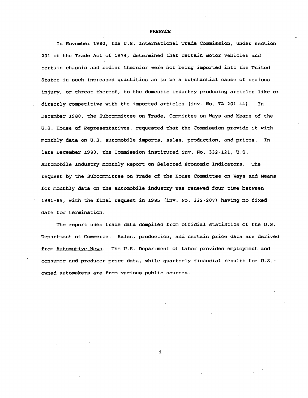#### PREFACE

In November 1980, the U.S. International Trade Commission, under section 201 of the Trade Act of 1974, determined that certain motor vehicles and certain chassis and bodies therefor were not being imported into the United States in such increased quantities as to be a substantial cause of serious injury, or threat thereof, to the domestic industry producing articles like or directly competitive with the imported articles (inv. No. TA-201-44). In December 1980, the Subcommittee on Trade, Committee on Ways and Means of the U.S. House of Representatives, requested that the Commission provide it with monthly data on U.S. automobile imports, sales, production, and prices. In late December 1980, the Commission instituted inv. No. 332-121, U.S. Automobile Industry Monthly Report on Selected Economic Indicators. The request by the Subcommittee on Trade of the House Committee on Ways and Means for monthly data on the automobile industry was renewed four time between 1981-85, with the final request in 1985 (inv. No. 332-207) having no fixed date for termination.

The report uses trade data compiled from official statistics of the U.S. Department of Commerce. Sales, production, and certain price data are derived from Automotive News. The U.S. Department of Labor provides employment and consumer and producer price data, while quarterly financial results for U.S. owned automakers are from various public sources.

i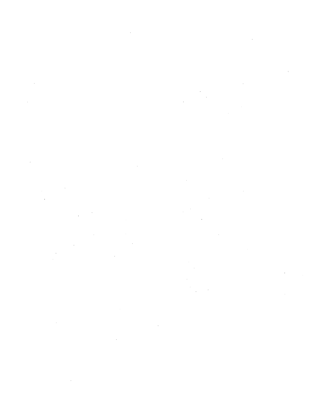$\label{eq:2.1} \frac{1}{\sqrt{2}}\int_{\mathbb{R}^3}\frac{1}{\sqrt{2}}\left(\frac{1}{\sqrt{2}}\right)^2\frac{1}{\sqrt{2}}\left(\frac{1}{\sqrt{2}}\right)^2\frac{1}{\sqrt{2}}\left(\frac{1}{\sqrt{2}}\right)^2.$ 

 $\label{eq:2.1} \frac{1}{\sqrt{2}}\left(\frac{1}{\sqrt{2}}\right)^{2} \left(\frac{1}{\sqrt{2}}\right)^{2} \left(\frac{1}{\sqrt{2}}\right)^{2} \left(\frac{1}{\sqrt{2}}\right)^{2} \left(\frac{1}{\sqrt{2}}\right)^{2} \left(\frac{1}{\sqrt{2}}\right)^{2} \left(\frac{1}{\sqrt{2}}\right)^{2} \left(\frac{1}{\sqrt{2}}\right)^{2} \left(\frac{1}{\sqrt{2}}\right)^{2} \left(\frac{1}{\sqrt{2}}\right)^{2} \left(\frac{1}{\sqrt{2}}\right)^{2} \left(\$ 

 $\label{eq:2.1} \mathcal{L}(\mathcal{L}^{\text{max}}_{\mathcal{L}}(\mathcal{L}^{\text{max}}_{\mathcal{L}}(\mathcal{L}^{\text{max}}_{\mathcal{L}}(\mathcal{L}^{\text{max}}_{\mathcal{L}})))$ 

 $\label{eq:2.1} \frac{1}{\sqrt{2}}\sum_{i=1}^n\frac{1}{\sqrt{2}}\sum_{i=1}^n\frac{1}{\sqrt{2}}\sum_{i=1}^n\frac{1}{\sqrt{2}}\sum_{i=1}^n\frac{1}{\sqrt{2}}\sum_{i=1}^n\frac{1}{\sqrt{2}}\sum_{i=1}^n\frac{1}{\sqrt{2}}\sum_{i=1}^n\frac{1}{\sqrt{2}}\sum_{i=1}^n\frac{1}{\sqrt{2}}\sum_{i=1}^n\frac{1}{\sqrt{2}}\sum_{i=1}^n\frac{1}{\sqrt{2}}\sum_{i=1}^n\frac$  $\label{eq:2.1} \frac{1}{\sqrt{2}}\int_{\mathbb{R}^3}\frac{1}{\sqrt{2}}\left(\frac{1}{\sqrt{2}}\right)^2\frac{1}{\sqrt{2}}\left(\frac{1}{\sqrt{2}}\right)^2\frac{1}{\sqrt{2}}\left(\frac{1}{\sqrt{2}}\right)^2\frac{1}{\sqrt{2}}\left(\frac{1}{\sqrt{2}}\right)^2.$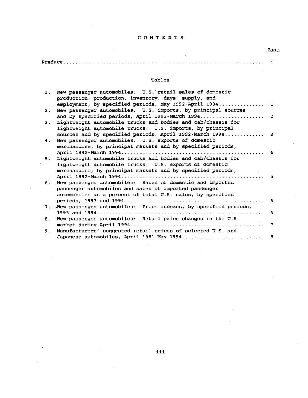#### C 0 N T E N T S

#### Tables

| 1. | New passenger automobiles: U.S. retail sales of domestic<br>production, production, inventory, days' supply, and |              |
|----|------------------------------------------------------------------------------------------------------------------|--------------|
|    | employment, by specified periods, May 1992-April 1994 1                                                          |              |
| 2. | New passenger automobiles: U.S. imports, by principal sources                                                    |              |
| 3. | Lightweight automobile trucks and bodies and cab/chassis for                                                     |              |
|    | lightweight automobile trucks: U.S. imports, by principal                                                        |              |
|    | sources and by specified periods, April 1992-March 1994 3                                                        |              |
| 4. | New passenger automobiles: U.S. exports of domestic                                                              |              |
|    | merchandise, by principal markets and by specified periods,                                                      |              |
|    |                                                                                                                  |              |
| 5. | Lightweight automobile trucks and bodies and cab/chassis for                                                     |              |
|    | lightweight automobile trucks: U.S. exports of domestic                                                          |              |
|    | merchandise, by principal markets and by specified periods,                                                      |              |
|    |                                                                                                                  |              |
| 6. | New passenger automobiles: Sales of domestic and imported                                                        |              |
|    | passenger automobiles and sales of imported passenger                                                            |              |
|    | automobiles as a percent of total U.S. sales, by specified                                                       |              |
|    |                                                                                                                  | -6           |
| 7. | New passenger automobiles: Price indexes, by specified periods,                                                  |              |
|    |                                                                                                                  |              |
| 8. | New passenger automobiles: Retail price changes in the U.S.                                                      |              |
|    |                                                                                                                  | $\mathbf{7}$ |
|    |                                                                                                                  |              |
| 9. | Manufacturers' suggested retail prices of selected U.S. and                                                      |              |
|    | Japanese automobiles, April 1981-May 1994 8                                                                      |              |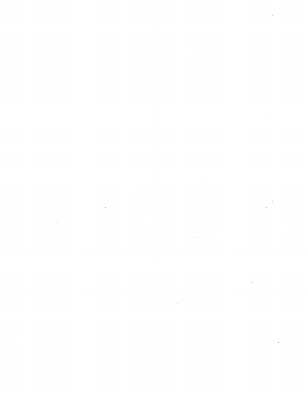$\label{eq:2.1} \frac{1}{\sqrt{2}}\int_{0}^{\infty}\frac{1}{\sqrt{2\pi}}\left(\frac{1}{\sqrt{2\pi}}\right)^{2}d\mu\left(\frac{1}{\sqrt{2\pi}}\right)\frac{d\mu}{d\mu}d\mu\left(\frac{1}{\sqrt{2\pi}}\right).$ 

 $\label{eq:2.1} \frac{1}{\sqrt{2}}\int_{\mathbb{R}^3}\frac{1}{\sqrt{2}}\left(\frac{1}{\sqrt{2}}\right)^2\frac{1}{\sqrt{2}}\left(\frac{1}{\sqrt{2}}\right)^2\frac{1}{\sqrt{2}}\left(\frac{1}{\sqrt{2}}\right)^2\frac{1}{\sqrt{2}}\left(\frac{1}{\sqrt{2}}\right)^2.$ 

 $\label{eq:2.1} \frac{1}{\sqrt{2}}\int_{\mathbb{R}^3}\frac{1}{\sqrt{2}}\left(\frac{1}{\sqrt{2}}\right)^2\frac{1}{\sqrt{2}}\left(\frac{1}{\sqrt{2}}\right)^2\frac{1}{\sqrt{2}}\left(\frac{1}{\sqrt{2}}\right)^2\frac{1}{\sqrt{2}}\left(\frac{1}{\sqrt{2}}\right)^2.$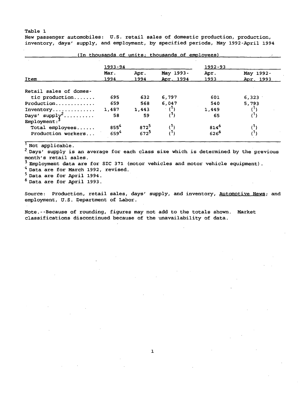New passenger automobiles: U.S. retail sales of domestic production, production, inventory, days' supply, and employment, by specified periods, May 1992-April 1994

|                                                       | 1993-94          |           |                          | 1992-93   |           |
|-------------------------------------------------------|------------------|-----------|--------------------------|-----------|-----------|
|                                                       | Mar.             | Apr.      | May 1993-                | Apr.      | May 1992- |
| Item                                                  | 1994             | 1994      | Apr. 1994                | 1993      | Apr. 1993 |
| Retail sales of domes-                                |                  |           |                          |           |           |
| tic production                                        | 695              | 632       | 6,797                    | 601       | 6,323     |
| Production                                            | 659              | 568       | 6,047                    | 540       | 5,793     |
| Inventory                                             | 1,487            | 1,443     | $\cdot$ ( <sup>1</sup> ) | 1,449     |           |
|                                                       | 58               | 59        |                          | 65        |           |
| Days' supply <sup>2</sup><br>Employment: <sup>3</sup> |                  |           |                          |           |           |
| Total employees                                       | 855 <sup>4</sup> | $872^{5}$ | (1)                      | $814^{6}$ |           |
| Production workers                                    | 659 <sup>4</sup> | $672^{5}$ |                          | $626^{6}$ |           |

Not applicable.<br><sup>2</sup> Days' supply is an average for each class size which is determined by the previous month's retail sales.

<sup>3</sup> Employment data are for SIC 371 (motor vehicles and motor vehicle equipment).<br><sup>4</sup> Data are for March 1992, revised.

5 Data are for April 1994.

6 Data are for April 1993.

Source: Production, retail sales, days' supply, and inventory, Automotive News; and employment, U.S. pepartment of Labor.

Note.--Because of rounding, figures may not add to the totals shown. Market classifications discontinued because of the unavailability of data.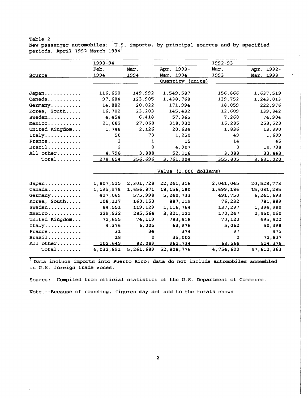New passenger automobiles: U.S. imports, by principal sources and by specified periods, April 1992-March 1994<sup>1</sup>

|                                        | 1993-94      |           |                              | <u> 1992-93</u> |            |  |  |
|----------------------------------------|--------------|-----------|------------------------------|-----------------|------------|--|--|
|                                        | Feb.         | Mar.      | Apr. 1993-                   | Mar.            | Apr. 1992- |  |  |
| Source                                 | 1994         | 1994      | Mar. 1994                    | 1993            | Mar. 1993  |  |  |
|                                        |              |           | Quantity (units)             |                 |            |  |  |
|                                        |              |           |                              |                 |            |  |  |
| Japan<br>Canada.                       | 116,650      | 149,992   | 1,549,587                    | 156,866         | 1,637,519  |  |  |
|                                        | 97,684       | 123,905   | 1,438,768                    | 139,752         | 1,243,013  |  |  |
| Germany                                | 14,882       | 20,022    | 171,994                      | 18,059          | 222,976    |  |  |
| Korea, South                           | 16,702       | 23,203    | 145,432                      | 12,609          | 139,842    |  |  |
| $S$ weden                              | 4,454        | 6,418     | 57,365                       | 7,260           | 74,904     |  |  |
| $Mexico$                               | 21,682       | 27,068    | 318,932                      | 16,285          | 253,523    |  |  |
| United Kingdom                         | 1,748        | 2,126     | 20,634                       | 1,836           | 13,390     |  |  |
| Italy                                  | 50           | 73        | 1,250                        | 49              | 1,609      |  |  |
| $France \ldots \ldots \ldots$          | 2            | 1         | 15                           | 14              | 45         |  |  |
| $\texttt{Brazil} \ldots \ldots \ldots$ | $\mathbf{2}$ | 0         | 4,907                        | $\mathbf 0$     | 10,738     |  |  |
| All other                              | 4,798        | 3,888     | 52,116                       | 3,083           | 33,443     |  |  |
| $Total$                                | 278,654      | 356,696   | 3,761,004                    | 355,805         | 3,631,020  |  |  |
|                                        |              |           | <u>Value (1,000 dollars)</u> |                 |            |  |  |
| Japan                                  | 1,807,515    | 2,301,728 | 22, 241, 316                 | 2,041,045       | 20,528,773 |  |  |
| Canada.                                | 1,195,978    | 1,656,871 | 18,156,180                   | 1,699,186       | 15,081,285 |  |  |
| Germany                                | 427,069      | 575,998   | 5,240,733                    | 491,750         | 6,241,693  |  |  |
| Korea, South                           | 108,117      | 160,153   | 887,119                      | 76,232          | 781,889    |  |  |
| Sweden                                 | 84,551       | 119,129   | 1,116,764                    | 137,297         | 1,394,980  |  |  |
| Mexico                                 | 229,932      | 285,564   | 3,321,121                    | 170,247         | 2,450,050  |  |  |
| United Kingdom                         | 72,655       | 74,119    | 783,418                      | 70,120          | 495,422    |  |  |
| Italy                                  | 4,376        | 6,005     | 63,976                       | 5,062           | 50,398     |  |  |
| $France \ldots \ldots \ldots$          | 31           | 34        | 374                          | 97              | 475        |  |  |
| Brazil                                 | 18           | 0         | 35,002                       | 0               | 72,837     |  |  |
| All other                              | 102,649      | 82,089    | 962,734                      | 63,564          | 514,378    |  |  |
| $Total$                                | 4,032,891    | 5,261,689 | 52,808,776                   | 4,754,600       | 47,612,363 |  |  |

Data include imports into Puerto Rico; data do not include automobiles assembled in U.S. foreign trade zones.

Source: Compiled from official statistics of the U.S. Department of Commerce.

Note.--Because of rounding, figures may not add to the totals shown.

2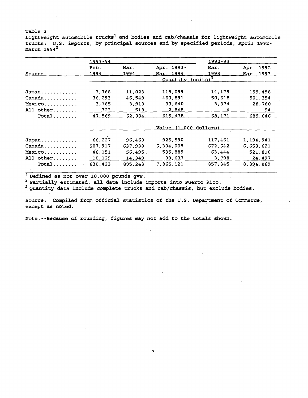Lightweight automobile  $trucks<sup>1</sup>$  and bodies and cab/chassis for lightweight automobile trucks: U.S. imports, by principal sources and by specified periods, April 1992- March 19942

|           | 1993-94                       |         |            | 1992-93 |            |  |
|-----------|-------------------------------|---------|------------|---------|------------|--|
|           | Feb.                          | Mar.    | Apr. 1993- | Mar.    | Apr. 1992- |  |
| Source    | 1994                          | 1994    | Mar. 1994  | 1993    | Mar. 1993  |  |
|           | Ouantity (units) <sup>3</sup> |         |            |         |            |  |
| Japan     | 7,768                         | 11,023  | 115,099    | 14,175  | 155,458    |  |
| Canada    | 36,293                        | 46,549  | 463,891    | 50,618  | 501,354    |  |
| Mexico    | 3,185                         | 3,913   | 33,640     | 3,374   | 28,780     |  |
| All other | 323                           | 518     | 2,848      | 4       | 54         |  |
| Total     | 47,569                        | 62,004  | 615,478    | 68,171  | 685,646    |  |
|           | Value (1,000 dollars)         |         |            |         |            |  |
| Japan     | 66,227                        | 96,460  | 925,590    | 117,461 | 1,194,941  |  |
| Canada    | 507,917                       | 637,938 | 6,304,008  | 672,642 | 6,653,621  |  |
| Mexico    | 46,151                        | 56,495  | 535,885    | 63,444  | 521,810    |  |
| All other | 10,129                        | 14,349  | 99,637     | 3,798   | 24,497     |  |
| $Total$   | 630,423                       | 805,243 | 7,865,121  | 857,345 | 8,394,869  |  |

Defined as not over 10,000 pounds gvw.<br>2 Partially estimated, all data include imports into Puerto Rico.

3 Quantity data include complete trucks and cab/chassis, but exclude bodies.

Source: Compiled from official statistics of the U.S. Department of Commerce, except as noted.

Note.--Because of rounding, figures may not add to the totals shown.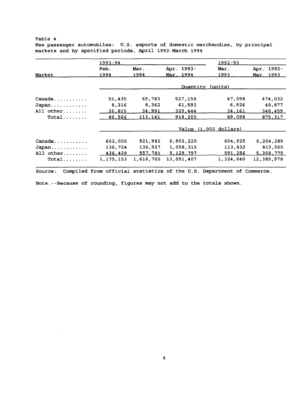$\hat{\mathbf{v}}$ 

New passenger automobiles: U.S. exports of domestic merchandise, by principal markets and by specified periods, April 1992-March 1994

|                                                       | 1993-94       |           |            | 1992-93                                                               |            |
|-------------------------------------------------------|---------------|-----------|------------|-----------------------------------------------------------------------|------------|
|                                                       | Feb.          | Mar.      | Apr. 1993- | Mar.                                                                  | Apr. 1992- |
| Market                                                | 1994          | 1994      | Mar. 1994  | 1993                                                                  | Mar. 1993  |
|                                                       |               |           |            |                                                                       |            |
|                                                       |               |           | Ouantity   | (units)                                                               |            |
| Canada                                                | 51,435        | 69,783    | 527,158    | 47,098                                                                | 474,032    |
| $Japan \ldots \ldots \ldots$                          | 8,316         | 8,362     | 61,593     | 6,926                                                                 | 48,877     |
| $\texttt{All} \texttt{ other} \dots \dots \texttt{.}$ | <u>26,815</u> | 34,991    | 329,444    | 34,161                                                                | 348,459    |
| $Total$                                               | 86,566        | 113,141   | 918,200    | 89,098                                                                | 875, 317   |
|                                                       |               |           |            | Value (1,000 dollars)                                                 |            |
| Canada                                                | 602,000       | 921,982   | 6,903,220  | 604,925                                                               | 6,204,285  |
| Japan                                                 | 136,724       | 136,927   | 1,058,315  | 113,832                                                               | 819,560    |
| All other                                             | 436,429       | 557,781   | 5,129,797  | 591,256                                                               | 5,308,775  |
| $Total \ldots$                                        | 1,175,153     | 1,616,765 | 13,091,407 | 1,324,640                                                             | 12,389,978 |
| Source:                                               |               |           |            | Compiled from official statistics of the U.S. Department of Commerce. |            |

Note.--Because of rounding, figures may not add to the totals shown.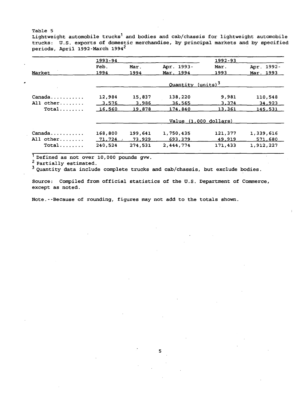Lightweight automobile  $trucks<sup>1</sup>$  and bodies and cab/chassis for lightweight automobile trucks: U.S. exports of domestic merchandise, by principal markets and by specified periods, April 1992-March 19942

|           | 1993-94 |         |                               | 1992-93 |            |
|-----------|---------|---------|-------------------------------|---------|------------|
|           | Feb.    | Mar.    | Apr. 1993-                    | Mar.    | Apr. 1992- |
| Market    | 1994    | 1994    | Mar. 1994                     | 1993    | Mar. 1993  |
|           |         |         | Quantity (units) <sup>3</sup> |         |            |
| Canada    | 12,984  | 15,837  | 138,220                       | 9,981   | 110,548    |
| All other | 3,576   | 3,986   | 36,565                        | 3,374   | 34,923     |
| $Total$   | 16,560  | 19,878  | 174,840                       | 13,361  | 145,531    |
|           |         |         | Value (1,000 dollars)         |         |            |
| Canada    | 168,800 | 199,641 | 1,750,435                     | 121,377 | 1,339,616  |
| All other | 71,724  | 73,929  | 693,379                       | 49,919  | 571,680    |
| Total     | 240,524 | 274,531 | 2,444,774                     | 171,433 | 1,912,227  |

Defined as not over 10,000 pounds gvw.<br><sup>2</sup> Partially estimated.

<sup>3</sup> Quantity data include complete trucks and cab/chassis, but exclude bodies.

Source: Compiled from official statistics of the U.S. Department of Commerce, except as noted.

Note.--Because of rounding, figures may not add to the totals shown.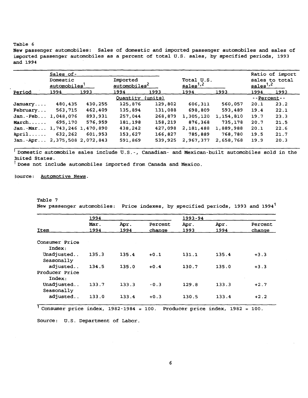New passenger automobiles: Sales of domestic and imported passenger automobiles and sales of imported passenger automobiles as a percent of total U.S. sales, by specified periods, 1993 and 1994

|            | Sales of-                            |                     |                                      |         |                                         |           |                                        | Ratio of import |
|------------|--------------------------------------|---------------------|--------------------------------------|---------|-----------------------------------------|-----------|----------------------------------------|-----------------|
|            | Domestic<br>automobiles <sup>1</sup> |                     | Imported<br>automobiles <sup>2</sup> |         | Total U.S.<br>$_{\texttt{sales}^{1,2}}$ |           | sales to total<br>sales <sup>1,2</sup> |                 |
| Period     | 1994                                 | 1993                | 1994                                 | 1993    | 1994                                    | 1993      | 1994                                   | 1993            |
|            | <b>Quantity</b><br>(units)           |                     |                                      |         |                                         |           | --Percent--                            |                 |
| January    | 480,435                              | 430,255             | 125,876                              | 129,802 | 606,311                                 | 560,057   | 20.1                                   | 23.2            |
| February   | 563,715                              | 462,409             | 135,894                              | 131,088 | 698,809                                 | 593,489   | 19.4                                   | 22.1            |
| $Jan.-Feb$ | 1,048,076                            | 893,931             | 257,044                              | 268,879 | 1,305,120                               | 1,154,810 | 19.7                                   | 23.3            |
| March      | 695,170                              | 576,959             | 181,198                              | 158,219 | 876,368                                 | 735,178   | 20.7                                   | 21.5            |
| $Jan.-Mar$ |                                      | 1,743,246 1,470,890 | 438,242                              | 427,098 | 2,181,488                               | 1,889,988 | 20.1                                   | 22.6            |
| April      | 632,262                              | 601,953             | 153,627                              | 166,827 | 785,889                                 | 768,780   | 19.5                                   | 21.7            |
| $Jan.-Apr$ |                                      | 2,375,508 2,072,843 | 591,869                              | 539,925 | 2,967,377                               | 2,658,768 | 19.9                                   | 20.3            |

Domestic automobile sales include U.S.-, Canadian- and Mexican-built automobiles sold in the Jni ted States.

! Does not include automobiles imported from Canada and Mexico.

#### Source: Automotive News.

Table 7

|                                      | 1994  |       |         | 1993-94 |       |         |
|--------------------------------------|-------|-------|---------|---------|-------|---------|
|                                      | Mar.  | Apr.  | Percent | Apr.    | Apr.  | Percent |
| <u>Item</u>                          | 1994  | 1994  | change  | 1993    | 1994  | change  |
| Consumer Price<br>Index:             |       |       |         |         |       |         |
| Unadjusted<br>Seasonally             | 135.3 | 135.4 | $+0.1$  | 131.1   | 135.4 | $+3.3$  |
| adjusted<br>Producer Price<br>Index: | 134.5 | 135.0 | $+0.4$  | 130.7   | 135.0 | $+3.3$  |
| Unadjusted<br>Seasonally             | 133.7 | 133.3 | $-0.3$  | 129.8   | 133.3 | $+2.7$  |
| adjusted                             | 133.0 | 133.4 | $+0.3$  | 130.5   | 133.4 | $+2.2$  |

 $\overline{1}$  Consumer price index, 1982-1984 = 100. Producer price index, 1982 = 100.

Source: U.S. Department of Labor.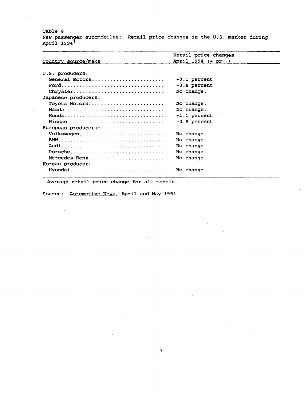New passenger automobiles: Retail price changes in the U.S. market during April 1994

|                                                                                     | Retail price changes |
|-------------------------------------------------------------------------------------|----------------------|
| Country source/make                                                                 | April 1994 (+ or -)  |
|                                                                                     |                      |
| U.S. producers:                                                                     |                      |
| General Motors                                                                      | $+0.1$ percent       |
| Ford                                                                                | $+0.4$ percent       |
| $Chrysler \ldots \ldots \ldots \ldots \ldots \ldots \ldots \ldots$                  | No change.           |
| Japanese producers:                                                                 |                      |
| Toyota Motors                                                                       | No change.           |
| Mazda                                                                               | No change.           |
| $\texttt{Honda.} \dots \dots \dots \dots \dots \dots \dots \dots \dots \dots \dots$ | +1.1 percent         |
| Nissan                                                                              | $+0.8$ percent       |
| European producers:                                                                 |                      |
| Volkswagen                                                                          | No change.           |
|                                                                                     | No change.           |
|                                                                                     | No change.           |
| Porsche                                                                             | No change.           |
| Mercedes-Benz                                                                       | No change.           |
| Korean producer:                                                                    |                      |
| Hyundai                                                                             | No change.           |

1 Average retail price change for all models.

Source: Automotive News, April and May 1994.